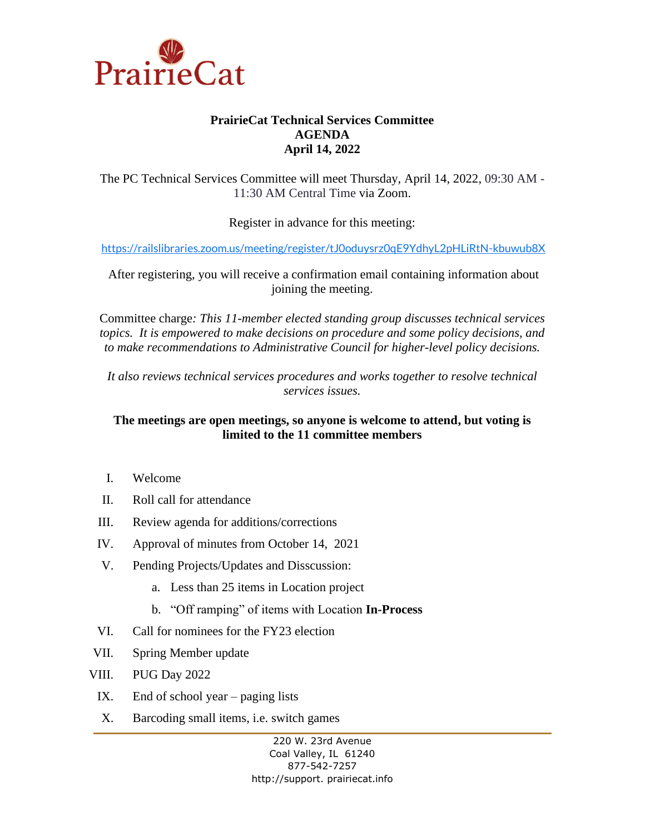

## **PrairieCat Technical Services Committee AGENDA April 14, 2022**

The PC Technical Services Committee will meet Thursday, April 14, 2022, 09:30 AM - 11:30 AM Central Time via Zoom.

Register in advance for this meeting:

<https://railslibraries.zoom.us/meeting/register/tJ0oduysrz0qE9YdhyL2pHLiRtN-kbuwub8X>

After registering, you will receive a confirmation email containing information about joining the meeting.

Committee charge*: This 11-member elected standing group discusses technical services topics. It is empowered to make decisions on procedure and some policy decisions, and to make recommendations to Administrative Council for higher-level policy decisions.*

*It also reviews technical services procedures and works together to resolve technical services issues.*

## **The meetings are open meetings, so anyone is welcome to attend, but voting is limited to the 11 committee members**

- I. Welcome
- II. Roll call for attendance
- III. Review agenda for additions/corrections
- IV. Approval of minutes from October 14, 2021
- V. Pending Projects/Updates and Disscussion:
	- a. Less than 25 items in Location project
	- b. "Off ramping" of items with Location **In-Process**
- VI. Call for nominees for the FY23 election
- VII. Spring Member update
- VIII. PUG Day 2022
	- IX. End of school year paging lists
	- X. Barcoding small items, i.e. switch games

220 W. 23rd Avenue Coal Valley, IL 61240 877-542-7257 http://support. prairiecat.info